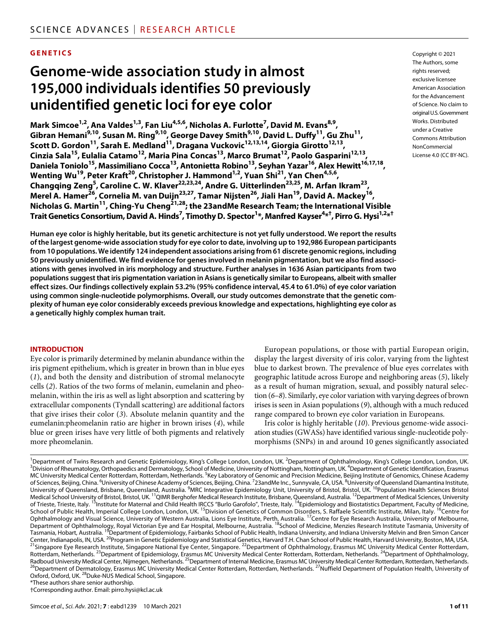## **GENETICS**

# **Genome-wide association study in almost 195,000 individuals identifies 50 previously unidentified genetic loci for eye color**

Mark Simcoe<sup>1,2</sup>, Ana Valdes<sup>1,3</sup>, Fan Liu<sup>4,5,6</sup>, Nicholas A. Furlotte<sup>7</sup>, David M. Evans<sup>8,9</sup>, **Gibran Hemani9,10, Susan M. Ring9,10, George Davey Smith9,10, David L. Duffy11, Gu Zhu11,**  Scott D. Gordon<sup>11</sup>, Sarah E. Medland<sup>11</sup>, Dragana Vuckovic<sup>12,13,14</sup>, Giorgia Girotto<sup>12,13</sup>, **Cinzia Sala15, Eulalia Catamo12, Maria Pina Concas13, Marco Brumat12, Paolo Gasparini12,13, Daniela Toniolo<sup>15</sup>, Massimiliano Cocca<sup>13</sup>, Antonietta Robino<sup>13</sup>, Seyhan Yazar<sup>16</sup>, Alex Hewitt<sup>16,17,18</sup>,** Wenting Wu<sup>19</sup>, Peter Kraft<sup>20</sup>, Christopher J. Hammond<sup>1,2</sup>, Yuan Shi<sup>21</sup>, Yan Chen<sup>4,5,6</sup>, **Changqing Zeng5 , Caroline C. W. Klaver22,23,24, Andre G. Uitterlinden23,25, M. Arfan Ikram23, Merel A. Hamer26, Cornelia M. vanDuijn23,27, Tamar Nijsten26, Jiali Han19, David A. Mackey16,**  Nicholas G. Martin<sup>11</sup>, Ching-Yu Cheng<sup>21,28</sup>; the 23andMe Research Team; the International Visible  $\bf{T}$ rait Genetics Consortium, David A. Hinds<sup>7</sup>, Timothy D. Spector<sup>1</sup>\*, Manfred Kayser<sup>4</sup>\*<sup>†</sup>, Pirro G. Hysi<sup>1,2</sup>\*<sup>†</sup>

**Human eye color is highly heritable, but its genetic architecture is not yet fully understood. We report the results of the largest genome-wide association study for eye color to date, involving up to 192,986 European participants from 10 populations. We identify 124 independent associations arising from 61 discrete genomic regions, including 50 previously unidentified. We find evidence for genes involved in melanin pigmentation, but we also find associations with genes involved in iris morphology and structure. Further analyses in 1636 Asian participants from two populations suggest that iris pigmentation variation in Asians is genetically similar to Europeans, albeit with smaller effect sizes. Our findings collectively explain 53.2% (95% confidence interval, 45.4 to 61.0%) of eye color variation using common single-nucleotide polymorphisms. Overall, our study outcomes demonstrate that the genetic complexity of human eye color considerably exceeds previous knowledge and expectations, highlighting eye color as a genetically highly complex human trait.**

#### **INTRODUCTION**

Eye color is primarily determined by melanin abundance within the iris pigment epithelium, which is greater in brown than in blue eyes (*1*), and both the density and distribution of stromal melanocyte cells (*2*). Ratios of the two forms of melanin, eumelanin and pheomelanin, within the iris as well as light absorption and scattering by extracellular components (Tyndall scattering) are additional factors that give irises their color (*3*). Absolute melanin quantity and the eumelanin:pheomelanin ratio are higher in brown irises (*4*), while blue or green irises have very little of both pigments and relatively more pheomelanin.

European populations, or those with partial European origin, display the largest diversity of iris color, varying from the lightest blue to darkest brown. The prevalence of blue eyes correlates with geographic latitude across Europe and neighboring areas (*5*), likely as a result of human migration, sexual, and possibly natural selection (*6*–*8*). Similarly, eye color variation with varying degrees of brown irises is seen in Asian populations (*9*), although with a much reduced range compared to brown eye color variation in Europeans.

Iris color is highly heritable (*10*). Previous genome-wide association studies (GWASs) have identified various single-nucleotide polymorphisms (SNPs) in and around 10 genes significantly associated

<sup>1</sup>Department of Twins Research and Genetic Epidemiology, King's College London, London, UK. <sup>2</sup>Department of Ophthalmology, King's College London, London, UK.<br><sup>3</sup>Division of Pheumatology, Orthopaedics and Dermatology, Sch Division of Rheumatology, Orthopaedics and Dermatology, School of Medicine, University of Nottingham, Nottingham, UK. <sup>4</sup>Department of Genetic Identification, Erasmus MC University Medical Center Rotterdam, Rotterdam, Netherlands. <sup>5</sup>Key Laboratory of Genomic and Precision Medicine, Beijing Institute of Genomics, Chinese Academy of Sciences, Beijing, China. <sup>6</sup>University of Chinese Academy of Sciences, Beijing, China. <sup>7</sup>23andMe Inc., Sunnyvale, CA, USA. <sup>8</sup>University of Queensland Diamantina Institute,<br>University of Queensland, Brisbane, Queensla Medical School University of Bristol, Bristol, UK. <sup>11</sup>QIMR Berghofer Medical Research Institute, Brisbane, Queensland, Australia. <sup>12</sup>Department of Medical Sciences, University of Trieste, Trieste, Italy. <sup>13</sup>Institute for Maternal and Child Health IRCCS "Burlo Garofolo", Trieste, Italy. <sup>14</sup>Epidemiology and Biostatistics Department, Faculty of Medicine, School of Public Health, Imperial College London, London, UK. <sup>15</sup>Division of Genetics of Common Disorders, S. Raffaele Scientific Institute, Milan, Italy. <sup>16</sup>Centre for Ophthalmology and Visual Science, University of Western Australia, Lions Eye Institute, Perth, Australia.<sup>17</sup>Centre for Eye Research Australia, University of Melbourne, Department of Ophthalmology, Royal Victorian Eye and Ear Hospital, Melbourne, Australia. <sup>18</sup>School of Medicine, Menzies Research Institute Tasmania, University of Tasmania, Hobart, Australia. <sup>19</sup>Department of Epidemiology, Fairbanks School of Public Health, Indiana University, and Indiana University Melvin and Bren Simon Cancer Teamana, Housing, IW, USA, <sup>26</sup>Program in Genetic Epidemiology and Statistical Genetics, Harvard T.H. Chan School of Public Health, Harvard University, Boston, MA, USA.<br><sup>21</sup>Singapore Eye Research Institute, Singapore Natio Rotterdam, Netherlands. <sup>23</sup>Department of Epidemiology, Erasmus MC University Medical Center Rotterdam, Rotterdam, Netherlands. <sup>24</sup>Department of Ophthalmology,<br>Radboud University Medical Center, Nijmegen, Netherlands. <sup>25</sup> <sup>26</sup>Department of Dermatology, Erasmus MC University Medical Center Rotterdam, Rotterdam, Netherlands. <sup>27</sup>Nuffield Department of Population Health, University of Oxford, Oxford, UK.<sup>28</sup>Duke-NUS Medical School, Singapore.

\*These authors share senior authorship.

Copyright © 2021 The Authors, some rights reserved: exclusive licensee American Association for the Advancement of Science. No claim to original U.S.Government Works. Distributed under a Creative Commons Attribution **NonCommercial** License 4.0 (CC BY-NC).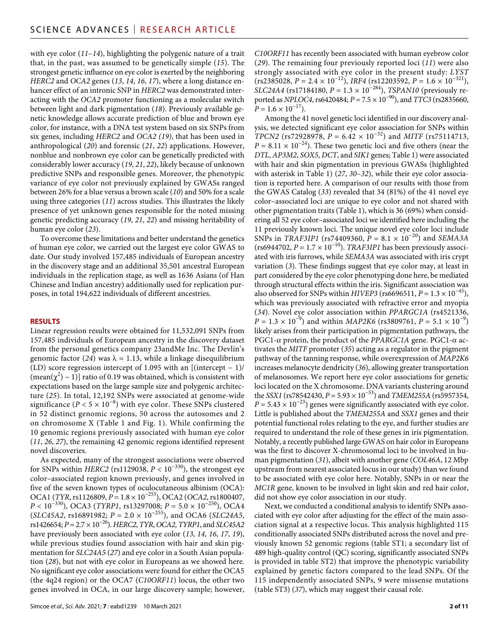with eye color (*11*–*14*), highlighting the polygenic nature of a trait that, in the past, was assumed to be genetically simple (*15*). The strongest genetic influence on eye color is exerted by the neighboring *HERC2* and *OCA2* genes (*13*, *14*, *16*, *17*), where a long distance enhancer effect of an intronic SNP in *HERC2* was demonstrated interacting with the *OCA2* promoter functioning as a molecular switch between light and dark pigmentation (*18*). Previously available genetic knowledge allows accurate prediction of blue and brown eye color, for instance, with a DNA test system based on six SNPs from six genes, including *HERC2* and *OCA2 (19)*, that has been used in anthropological (*20*) and forensic (*21*, *22*) applications. However, nonblue and nonbrown eye color can be genetically predicted with considerably lower accuracy (*19*, *21*, *22*), likely because of unknown predictive SNPs and responsible genes. Moreover, the phenotypic variance of eye color not previously explained by GWASs ranged between 26% for a blue versus a brown scale (*10*) and 50% for a scale using three categories (*11*) across studies. This illustrates the likely presence of yet unknown genes responsible for the noted missing genetic predicting accuracy (*19*, *21*, *22*) and missing heritability of human eye color (*23*).

To overcome these limitations and better understand the genetics of human eye color, we carried out the largest eye color GWAS to date. Our study involved 157,485 individuals of European ancestry in the discovery stage and an additional 35,501 ancestral European individuals in the replication stage, as well as 1636 Asians (of Han Chinese and Indian ancestry) additionally used for replication purposes, in total 194,622 individuals of different ancestries.

#### **RESULTS**

Linear regression results were obtained for 11,532,091 SNPs from 157,485 individuals of European ancestry in the discovery dataset from the personal genetics company 23andMe Inc. The Devlin's genomic factor (24) was  $\lambda = 1.13$ , while a linkage disequilibrium (LD) score regression intercept of 1.095 with an  $[(intercept - 1)/$ (mean( $\chi^2$ ) – 1)] ratio of 0.19 was obtained, which is consistent with expectations based on the large sample size and polygenic architecture (*25*). In total, 12,192 SNPs were associated at genome-wide significance ( $P < 5 \times 10^{-8}$ ) with eye color. These SNPs clustered in 52 distinct genomic regions, 50 across the autosomes and 2 on chromosome X (Table 1 and Fig. 1). While confirming the 10 genomic regions previously associated with human eye color (*11*, *26*, *27*), the remaining 42 genomic regions identified represent novel discoveries.

As expected, many of the strongest associations were observed for SNPs within *HERC2* (rs1129038, *P* < 10−330), the strongest eye color–associated region known previously, and genes involved in five of the seven known types of oculocutaneous albinism (OCA): OCA1 (*TYR*, rs1126809, *P* = 1.8 × 10−255), OCA2 (*OCA2*, rs1800407, *P* < 10<sup>−330</sup>), OCA3 (*TYRP1*, rs13297008; *P* = 5.0 × 10<sup>−250</sup>), OCA4 (*SLC45A2*, rs16891982; *P* = 2.0 × 10−255), and OCA6 (*SLC24A5*, rs1426654; *P* = 2.7 × 10−26). *HERC2*, *TYR*, *OCA2*, *TYRP1*, and *SLC45A2* have previously been associated with eye color (*13*, *14*, *16*, *17*, *19*), while previous studies found association with hair and skin pigmentation for *SLC24A5* (*27*) and eye color in a South Asian population (*28*), but not with eye color in Europeans as we showed here. No significant eye color associations were found for either the OCA5 (the 4q24 region) or the OCA7 (*C10ORF11*) locus, the other two genes involved in OCA, in our large discovery sample; however,

Simcoe *et al*., *Sci. Adv.* 2021; **7** : eabd1239 10 March 2021

*C10ORF11* has recently been associated with human eyebrow color (*29*). The remaining four previously reported loci (*11*) were also strongly associated with eye color in the present study: *LYST*  $(rs2385028, P = 2.4 \times 10^{-12})$ , *IRF4*  $(rs12203592, P = 1.6 \times 10^{-321})$ , *SLC24A4* (rs17184180, *P* = 1.3 × 10−284), *TSPAN10* (previously reported as *NPLOC4*, rs6420484; *P* = 7.5 × 10−90), and *TTC3* (rs2835660,  $P = 1.6 \times 10^{-17}$ ).

Among the 41 novel genetic loci identified in our discovery analysis, we detected significant eye color association for SNPs within *TPCN2* (rs72928978, *P* = 6.42 × 10<sup>-32</sup>) and *MITF* (rs75114713,  $P = 8.11 \times 10^{-24}$ ). These two genetic loci and five others (near the *DTL*, *AP3M2*, *SOX5*, *DCT*, and *SIK1* genes; Table 1) were associated with hair and skin pigmentation in previous GWASs (highlighted with asterisk in Table 1) (*27*, *30*–*32*), while their eye color association is reported here. A comparison of our results with those from the GWAS Catalog (*33*) revealed that 34 (81%) of the 41 novel eye color–associated loci are unique to eye color and not shared with other pigmentation traits (Table 1), which is 36 (69%) when considering all 52 eye color–associated loci we identified here including the 11 previously known loci. The unique novel eye color loci include SNPs in *TRAF3IP1* (rs74409360, *P* = 8.1 × 10−20) and *SEMA3A* (rs6944702,  $P = 1.7 \times 10^{-10}$ ). *TRAF3IP1* has been previously associated with iris furrows, while *SEMA3A* was associated with iris crypt variation (*3*). These findings suggest that eye color may, at least in part considered by the eye color phenotyping done here, be mediated through structural effects within the iris. Significant association was also observed for SNPs within *HIVEP3* (rs6696511,  $P = 1.3 \times 10^{-45}$ ), which was previously associated with refractive error and myopia (*34*). Novel eye color association within *PPARGC1A* (rs4521336,  $P = 1.3 \times 10^{-9}$ ) and within *MAP2K6* (rs3809761,  $P = 5.1 \times 10^{-9}$ ) likely arises from their participation in pigmentation pathways, the  $PGC1-\alpha$  protein, the product of the *PPARGC1A* gene. PGC1- $\alpha$  activates the *MITF* promoter (*35*) acting as a regulator in the pigment pathway of the tanning response, while overexpression of *MAP2K6* increases melanocyte dendricity (*36*), allowing greater transportation of melanosomes. We report here eye color associations for genetic loci located on the X chromosome. DNA variants clustering around the *SSX1* (rs78542430, *P* = 5.93 × 10−53) and *TMEM255A* (rs5957354,  $P = 5.43 \times 10^{-23}$ ) genes were significantly associated with eye color. Little is published about the *TMEM255A* and *SSX1* genes and their potential functional roles relating to the eye, and further studies are required to understand the role of these genes in iris pigmentation. Notably, a recently published large GWAS on hair color in Europeans was the first to discover X-chromosomal loci to be involved in human pigmentation (*31*), albeit with another gene (*COL46A*, 12 Mbp upstream from nearest associated locus in our study) than we found to be associated with eye color here. Notably, SNPs in or near the *MC1R* gene, known to be involved in light skin and red hair color, did not show eye color association in our study.

Next, we conducted a conditional analysis to identify SNPs associated with eye color after adjusting for the effect of the main association signal at a respective locus. This analysis highlighted 115 conditionally associated SNPs distributed across the novel and previously known 52 genomic regions (table ST1; a secondary list of 489 high-quality control (QC) scoring, significantly associated SNPs is provided in table ST2) that improve the phenotypic variability explained by genetic factors compared to the lead SNPs. Of the 115 independently associated SNPs, 9 were missense mutations (table ST3) (*37*), which may suggest their causal role.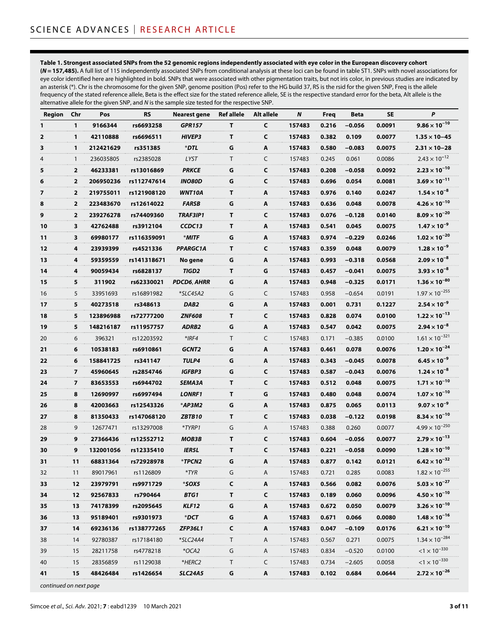#### **Table 1. Strongest associated SNPs from the 52 genomic regions independently associated with eye color in the European discovery cohort**

**(***N* **= 157,485).** A full list of 115 independently associated SNPs from conditional analysis at these loci can be found in table ST1. SNPs with novel associations for eye color identified here are highlighted in bold. SNPs that were associated with other pigmentation traits, but not iris color, in previous studies are indicated by an asterisk (\*). Chr is the chromosome for the given SNP, genome position (Pos) refer to the HG build 37, RS is the rsid for the given SNP, Freq is the allele frequency of the stated reference allele, Beta is the effect size for the stated reference allele, SE is the respective standard error for the beta, Alt allele is the alternative allele for the given SNP, and *N* is the sample size tested for the respective SNP.

| Region | Chr            | Pos       | <b>RS</b>   | <b>Nearest gene</b> | <b>Refallele</b> | <b>Alt allele</b> | N           | Freq  | <b>Beta</b> | <b>SE</b> | P                                   |
|--------|----------------|-----------|-------------|---------------------|------------------|-------------------|-------------|-------|-------------|-----------|-------------------------------------|
|        | 1              | 9166344   | rs6693258   | <b>GPR157</b>       | т                | C                 | 157483      | 0.216 | $-0.056$    | 0.0091    | $9.86 \times 10^{-10}$              |
|        | 1              | 42110888  | rs6696511   | <b>HIVEP3</b>       | ш                | c                 | 157483      | 0.382 | 0.109       | 0.0077    | $1.35 \times 10 - 45$               |
|        | 1              | 212421629 | rs351385    | *DTL                | G                | A                 | 157483      | 0.580 | -0.083      | 0.0075    | $2.31 \times 10 - 28$               |
|        | 1              | 236035805 | rs2385028   | <b>LYST</b>         | т                | C                 | 157483      | 0.245 | 0.061       | 0.0086    | $2.43 \times 10^{-12}$              |
|        | 2              | 46233381  | rs13016869  | <b>PRKCE</b>        | G                | c                 | 157483      | 0.208 | -0.058      | 0.0092    | $2.23 \times 10^{-10}$              |
|        | $\overline{2}$ | 206950236 | rs112747614 | INO80D              | G                | c                 | 157483      | 0.696 | 0.054       | 0.0081    | $3.69 \times 10^{-11}$              |
|        | 2              | 219755011 | rs121908120 | WNT10A              | т                | A                 | 157483      | 0.976 | 0.140       | 0.0247    | $1.54 \times 10^{-8}$               |
|        | $\overline{2}$ | 223483670 | rs12614022  | <b>FARSB</b>        | G                | A                 | 157483      | 0.636 | 0.048       | 0.0078    | $4.26 \times 10^{-10}$              |
|        | $\mathbf{z}$   | 239276278 | rs74409360  | <b>TRAF3IP1</b>     | т                | c                 | 157483      | 0.076 | -0.128      | 0.0140    | $8.09 \times 10^{-20}$              |
| 10     | 3              | 42762488  | rs3912104   | CCDC13              | т                | A                 | 157483      | 0.541 | 0.045       | 0.0075    | $1.47 \times 10^{-9}$               |
| 11     | 3              | 69980177  | rs116359091 | *MITF               | G                | A                 | 157483      | 0.974 | -0.229      | 0.0246    | $1.02 \times 10^{-20}$              |
| 12     | 4              | 23939399  | rs4521336   | PPARGC1A            | т                | C                 | 157483      | 0.359 | 0.048       | 0.0079    | $1.28 \times 10^{-9}$               |
| 13     | 4              | 59359559  | rs141318671 | No gene             | G                | A                 | 157483      | 0.993 | -0.318      | 0.0568    | $2.09 \times 10^{-8}$               |
| 14     | 4              | 90059434  | rs6828137   | TIGD2               | т                | G                 | 157483      | 0.457 | -0.041      | 0.0075    | $3.93 \times 10^{-8}$               |
| 15     | 5              | 311902    | rs62330021  | <b>PDCD6, AHRR</b>  | G                | A                 | 157483      | 0.948 | -0.325      | 0.0171    | $1.36 \times 10^{-80}$              |
| 16     | 5              | 33951693  | rs16891982  | *SLC45A2            | G                | C                 | 157483      | 0.958 | -0.654      | 0.0191    | $1.97 \times 10^{-255}$             |
| 17     | 5              | 40273518  | rs348613    | DAB <sub>2</sub>    | G                | A                 | 157483      | 0.001 | 0.731       | 0.1227    | $2.54 \times 10^{-9}$               |
| 18     | 5              | 123896988 | rs72777200  | ZNF608              | т                | c                 | 157483      | 0.828 | 0.074       | 0.0100    | $1.22 \times 10^{-13}$              |
| 19     | 5              | 148216187 | rs11957757  | ADRB2               | G                | A                 | 157483      | 0.547 | 0.042       | 0.0075    | $2.94 \times 10^{-8}$               |
| 20     | 6              | 396321    | rs12203592  | *IRF4               | Т                | C                 | 157483      | 0.171 | $-0.385$    | 0.0100    | $1.61 \times 10^{-321}$             |
| 21     | 6              | 10538183  | rs6910861   | GCNT <sub>2</sub>   | G                | A                 | 157483      | 0.461 | 0.078       | 0.0076    | $1.20 \times 10^{-24}$              |
| 22     | 6              | 158841725 | rs341147    | TULP4               | G                | A                 | 157483      | 0.343 | -0.045      | 0.0078    | $6.45 \times 10^{-9}$               |
| 23     | 7              | 45960645  | rs2854746   | <b>IGFBP3</b>       | G                | c                 | 157483      | 0.587 | -0.043      | 0.0076    | $1.24 \times 10^{-8}$               |
| 24     | 7              | 83653553  | rs6944702   | <b>SEMA3A</b>       | т                | С                 | 157483      | 0.512 | 0.048       | 0.0075    | $1.71 \times 10^{-10}$              |
| 25     | 8              | 12690997  | rs6997494   | <b>LONRF1</b>       | т                | G                 | 157483      | 0.480 | 0.048       | 0.0074    | $1.07 \times 10^{-10}$              |
| 26     | 8              | 42003663  | rs12543326  | *AP3M2              | G                | A                 | 157483      | 0.875 | 0.065       | 0.0113    | $9.07 \times 10^{-9}$               |
| 27     | 8              | 81350433  | rs147068120 | ZBTB10              | т                | c                 | 157483      | 0.038 | -0.122      | 0.0198    | $8.34 \times 10^{-10}$              |
| 28     | 9              | 12677471  | rs13297008  | *TYRP1              | G                | A                 | 157483      | 0.388 | 0.260       | 0.0077    | $4.99 \times 10^{-250}$             |
| 29     | 9              | 27366436  | rs12552712  | <b>MOB3B</b>        | т                | C                 | 157483      | 0.604 | -0.056      | 0.0077    | $2.79 \times 10^{-13}$              |
| 30     | 9              | 132001056 | rs12335410  | <b>IER5L</b>        | т                | С                 | 157483      | 0.221 | -0.058      | 0.0090    | $1.28 \times 10^{-10}$              |
| 31     | 11             | 68831364  | rs72928978  | *TPCN2              | G                | A                 | 157483      | 0.877 | 0.142       | 0.0121    | $6.42 \times 10^{-32}$              |
| 32     | 11             | 89017961  | rs1126809   | *TYR                | G                | A                 | 157483      | 0.721 | 0.285       | 0.0083    | $1.82 \times 10^{-255}$             |
| 33     | 12             | 23979791  | rs9971729   | *SOX5               |                  | А                 | 157483      | 0.566 | 0.082       | 0.0076    | $5.03 \times 10^{-27}$              |
| 34     | 12             | 92567833  | rs790464    | BTG1                |                  | c                 | 157483      | 0.189 | 0.060       | 0.0096    | $4.50 \times 10^{-10}$              |
| 35     | 13             | 74178399  | rs2095645   | KLF12               | G                | A                 | 157483      | 0.672 | 0.050       | 0.0079    | $3.26 \times 10^{-10}$<br>.         |
| 36     | 13             | 95189401  | rs9301973   | *DCT                | G                | A                 | 157483      | 0.671 | 0.066       | 0.0080    | $1.48 \times 10^{-16}$<br>.         |
| 37     | 14             | 69236136  | rs138777265 | ZFP36L1             | C                | A                 | 157483      | 0.047 | -0.109      | 0.0176    | $6.21 \times 10^{-10}$              |
| 38     | 14             | 92780387  | rs17184180  | *SLC24A4            | т                | A                 | 157483      | 0.567 | 0.271       | 0.0075    | $1.34 \times 10^{-284}$             |
| 39     | 15             | 28211758  | rs4778218   | *OCA2<br>.          | G                | Α                 | 157483<br>. | 0.834 | –0.520      | 0.0100    | $< 1 \times 10^{-330}$<br>.         |
| 40     | 15             | 28356859  | rs1129038   | *HERC2<br>.         | т                | C                 | 157483      | 0.734 | –2.605      | 0.0058    | $< 1 \times 10^{-330}$              |
| 41     | 15             | 48426484  | rs 1426654  | SLC24A5             | G                | A                 | 157483      | 0.102 | 0.684       | 0.0644    | $\boldsymbol{2.72 \times 10^{-26}}$ |
|        |                |           |             |                     |                  |                   |             |       |             |           |                                     |

*continued on next page*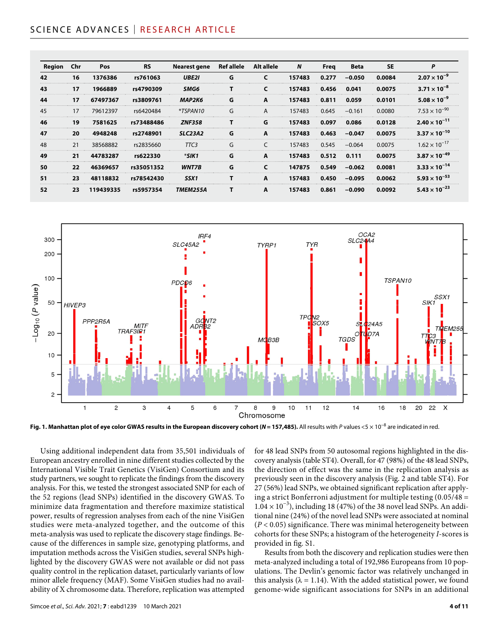# SCIENCE ADVANCES | RESEARCH ARTICLE

| Region Chr |    | Pos       | <b>RS</b>  | Nearest gene     | Ref allele Alt allele |   | N      | Freq  | <b>Beta</b> | <b>SE</b> | P                      |
|------------|----|-----------|------------|------------------|-----------------------|---|--------|-------|-------------|-----------|------------------------|
| 42         | 16 | 1376386   | rs761063   | UBE21            | G                     |   | 157483 | 0.277 | $-0.050$    | 0.0084    | $2.07 \times 10^{-7}$  |
| 43         | 17 | 1966889   | rs4790309  | SMG6             |                       |   | 157483 | 0.456 | 0.041       | 0.0075    | $3.71 \times 10^{-8}$  |
| 44         | 17 | 67497367  | rs3809761  | MAP2K6           | G                     | A | 157483 | 0.811 | 0.059       | 0.0101    | $5.08 \times 10^{-9}$  |
| 45         | 17 | 79612397  | rs6420484  | <i>*TSPAN10</i>  | G                     | A | 157483 | 0.645 | $-0.161$    | 0.0080    | $7.53 \times 10^{-90}$ |
| 46         | 19 | 7581625   | rs73488486 | <b>ZNF358</b>    |                       | G | 157483 | 0.097 | 0.086       | 0.0128    | $2.40 \times 10^{-11}$ |
| 47         | 20 | 4948248   | rs2748901  | <b>SLC23A2</b>   | G                     | A | 157483 | 0.463 | $-0.047$    | 0.0075    | $3.37 \times 10^{-10}$ |
| 48         | 21 | 38568882  | rs2835660  | TTC3             | G                     |   | 157483 | 0.545 | $-0.064$    | 0.0075    | $1.62 \times 10^{-17}$ |
| 49         | 21 | 44783287  | rs622330   | $*$ SIK1         | G                     | A | 157483 | 0.512 | 0.111       | 0.0075    | $3.87 \times 10^{-49}$ |
| 50         | 22 | 46369657  | rs35051352 | <b>WNT7B</b>     | G                     |   | 147875 | 0.549 | $-0.062$    | 0.0081    | $3.33 \times 10^{-14}$ |
| 51         | 23 | 48118832  | rs78542430 | SSX <sub>1</sub> |                       | A | 157483 | 0.450 | $-0.095$    | 0.0062    | $5.93 \times 10^{-53}$ |
| 52         | 23 | 119439335 | rs5957354  | TMEM255A         |                       | A | 157483 | 0.861 | $-0.090$    | 0.0092    | $5.43 \times 10^{-23}$ |





Using additional independent data from 35,501 individuals of European ancestry enrolled in nine different studies collected by the International Visible Trait Genetics (VisiGen) Consortium and its study partners, we sought to replicate the findings from the discovery analysis. For this, we tested the strongest associated SNP for each of the 52 regions (lead SNPs) identified in the discovery GWAS. To minimize data fragmentation and therefore maximize statistical power, results of regression analyses from each of the nine VisiGen studies were meta-analyzed together, and the outcome of this meta-analysis was used to replicate the discovery stage findings. Because of the differences in sample size, genotyping platforms, and imputation methods across the VisiGen studies, several SNPs highlighted by the discovery GWAS were not available or did not pass quality control in the replication dataset, particularly variants of low minor allele frequency (MAF). Some VisiGen studies had no availability of X chromosome data. Therefore, replication was attempted

Simcoe *et al*., *Sci. Adv.* 2021; **7** : eabd1239 10 March 2021

for 48 lead SNPs from 50 autosomal regions highlighted in the discovery analysis (table ST4). Overall, for 47 (98%) of the 48 lead SNPs, the direction of effect was the same in the replication analysis as previously seen in the discovery analysis (Fig. 2 and table ST4). For 27 (56%) lead SNPs, we obtained significant replication after applying a strict Bonferroni adjustment for multiple testing (0.05/48 =  $1.04 \times 10^{-3}$ ), including 18 (47%) of the 38 novel lead SNPs. An additional nine (24%) of the novel lead SNPs were associated at nominal (*P* < 0.05) significance. There was minimal heterogeneity between cohorts for these SNPs; a histogram of the heterogeneity *I*-scores is provided in fig. S1.

Results from both the discovery and replication studies were then meta-analyzed including a total of 192,986 Europeans from 10 populations. The Devlin's genomic factor was relatively unchanged in this analysis ( $\lambda = 1.14$ ). With the added statistical power, we found genome-wide significant associations for SNPs in an additional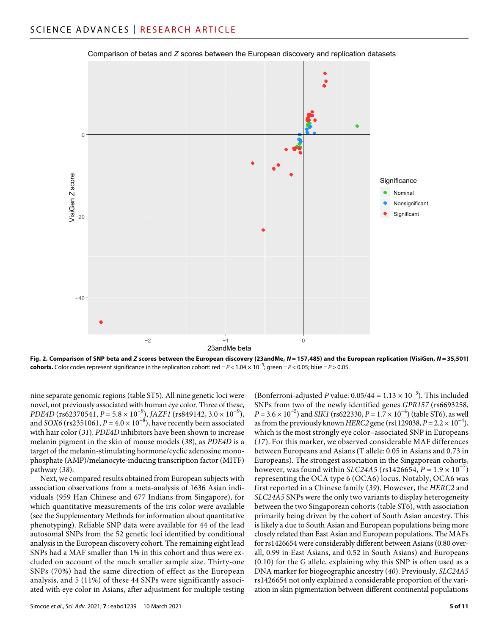

Comparison of betas and *Z* scores between the European discovery and replication datasets

**Fig. 2. Comparison of SNP beta and** *Z* **scores between the European discovery (23andMe,** *N* **= 157,485) and the European replication (VisiGen,** *N* **= 35,501) cohorts.** Color codes represent significance in the replication cohort: red = *P* < 1.04 × 10−3; green = *P* < 0.05; blue = *P* > 0.05.

nine separate genomic regions (table ST5). All nine genetic loci were novel, not previously associated with human eye color. Three of these, *PDE4D* (rs62370541, *P* = 5.8 × 10<sup>-9</sup>), *JAZF1* (rs849142, 3.0 × 10<sup>-9</sup>), and *SOX6* (rs2351061,  $P = 4.0 \times 10^{-8}$ ), have recently been associated with hair color (*31*). *PDE4D* inhibitors have been shown to increase melanin pigment in the skin of mouse models (*38*), as *PDE4D* is a target of the melanin-stimulating hormone/cyclic adenosine monophosphate (AMP)/melanocyte-inducing transcription factor (MITF) pathway (*38*).

Next, we compared results obtained from European subjects with association observations from a meta-analysis of 1636 Asian individuals (959 Han Chinese and 677 Indians from Singapore), for which quantitative measurements of the iris color were available (see the Supplementary Methods for information about quantitative phenotyping). Reliable SNP data were available for 44 of the lead autosomal SNPs from the 52 genetic loci identified by conditional analysis in the European discovery cohort. The remaining eight lead SNPs had a MAF smaller than 1% in this cohort and thus were excluded on account of the much smaller sample size. Thirty-one SNPs (70%) had the same direction of effect as the European analysis, and 5 (11%) of these 44 SNPs were significantly associated with eye color in Asians, after adjustment for multiple testing

Simcoe *et al*., *Sci. Adv.* 2021; **7** : eabd1239 10 March 2021

(Bonferroni-adjusted *P* value:  $0.05/44 = 1.13 \times 10^{-3}$ ). This included SNPs from two of the newly identified genes *GPR157* (rs6693258,  $P = 3.6 \times 10^{-5}$ ) and *SIK1* (rs622330,  $P = 1.7 \times 10^{-4}$ ) (table ST6), as well as from the previously known *HERC2* gene (rs1129038,  $P = 2.2 \times 10^{-4}$ ), which is the most strongly eye color–associated SNP in Europeans (*17*). For this marker, we observed considerable MAF differences between Europeans and Asians (T allele: 0.05 in Asians and 0.73 in Europeans). The strongest association in the Singaporean cohorts, however, was found within *SLC24A5* (rs1426654,  $P = 1.9 \times 10^{-7}$ ) representing the OCA type 6 (OCA6) locus. Notably, OCA6 was first reported in a Chinese family (*39*). However, the *HERC2* and *SLC24A5* SNPs were the only two variants to display heterogeneity between the two Singaporean cohorts (table ST6), with association primarily being driven by the cohort of South Asian ancestry. This is likely a due to South Asian and European populations being more closely related than East Asian and European populations. The MAFs for rs1426654 were considerably different between Asians (0.80 overall, 0.99 in East Asians, and 0.52 in South Asians) and Europeans (0.10) for the G allele, explaining why this SNP is often used as a DNA marker for biogeographic ancestry (*40*). Previously, *SLC24A5* rs1426654 not only explained a considerable proportion of the variation in skin pigmentation between different continental populations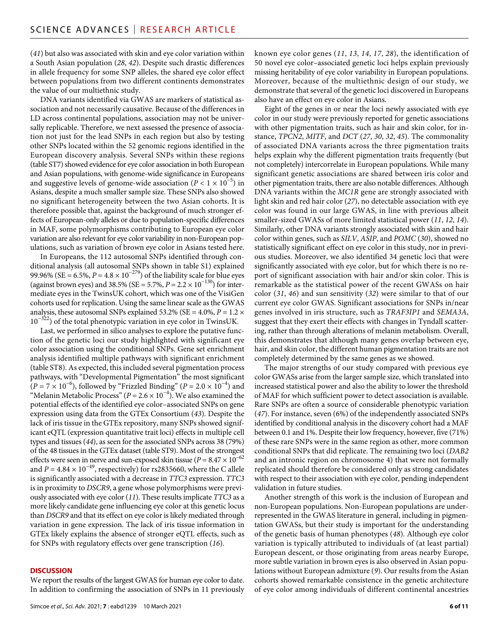(*41*) but also was associated with skin and eye color variation within a South Asian population (*28*, *42*). Despite such drastic differences in allele frequency for some SNP alleles, the shared eye color effect between populations from two different continents demonstrates the value of our multiethnic study.

DNA variants identified via GWAS are markers of statistical association and not necessarily causative. Because of the differences in LD across continental populations, association may not be universally replicable. Therefore, we next assessed the presence of association not just for the lead SNPs in each region but also by testing other SNPs located within the 52 genomic regions identified in the European discovery analysis. Several SNPs within these regions (table ST7) showed evidence for eye color association in both European and Asian populations, with genome-wide significance in Europeans and suggestive levels of genome-wide association ( $P < 1 \times 10^{-5}$ ) in Asians, despite a much smaller sample size. These SNPs also showed no significant heterogeneity between the two Asian cohorts. It is therefore possible that, against the background of much stronger effects of European-only alleles or due to population-specific differences in MAF, some polymorphisms contributing to European eye color variation are also relevant for eye color variability in non-European populations, such as variation of brown eye color in Asians tested here.

In Europeans, the 112 autosomal SNPs identified through conditional analysis (all autosomal SNPs shown in table S1) explained 99.96% (SE = 6.5%,  $P = 4.8 \times 10^{-279}$ ) of the liability scale for blue eyes (against brown eyes) and 38.5% (SE = 5.7%,  $P = 2.2 \times 10^{-130}$ ) for intermediate eyes in the TwinsUK cohort, which was one of the VisiGen cohorts used for replication. Using the same linear scale as the GWAS analysis, these autosomal SNPs explained 53.2% (SE =  $4.0\%$ ,  $P = 1.2 \times$ 10−322) of the total phenotypic variation in eye color in TwinsUK.

Last, we performed in silico analyses to explore the putative function of the genetic loci our study highlighted with significant eye color association using the conditional SNPs. Gene set enrichment analysis identified multiple pathways with significant enrichment (table ST8). As expected, this included several pigmentation process pathways, with "Developmental Pigmentation" the most significant  $(P = 7 \times 10^{-6})$ , followed by "Frizzled Binding"  $(P = 2.0 \times 10^{-4})$  and "Melanin Metabolic Process" ( $P = 2.6 \times 10^{-4}$ ). We also examined the potential effects of the identified eye color–associated SNPs on gene expression using data from the GTEx Consortium (*43*). Despite the lack of iris tissue in the GTEx repository, many SNPs showed significant eQTL (expression quantitative trait loci) effects in multiple cell types and tissues (*44*), as seen for the associated SNPs across 38 (79%) of the 48 tissues in the GTEx dataset (table ST9). Most of the strongest effects were seen in nerve and sun-exposed skin tissue ( $P = 8.47 \times 10^{-62}$ ) and *P* =  $4.84 \times 10^{-49}$ , respectively) for rs2835660, where the C allele is significantly associated with a decrease in *TTC3* expression. *TTC3* is in proximity to *DSCR9*, a gene whose polymorphisms were previously associated with eye color (*11*). These results implicate *TTC3* as a more likely candidate gene influencing eye color at this genetic locus than *DSCR9* and that its effect on eye color is likely mediated through variation in gene expression. The lack of iris tissue information in GTEx likely explains the absence of stronger eQTL effects, such as for SNPs with regulatory effects over gene transcription (*16*).

#### **DISCUSSION**

We report the results of the largest GWAS for human eye color to date. In addition to confirming the association of SNPs in 11 previously known eye color genes (*11*, *13*, *14*, *17*, *28*), the identification of 50 novel eye color–associated genetic loci helps explain previously missing heritability of eye color variability in European populations. Moreover, because of the multiethnic design of our study, we demonstrate that several of the genetic loci discovered in Europeans also have an effect on eye color in Asians.

Eight of the genes in or near the loci newly associated with eye color in our study were previously reported for genetic associations with other pigmentation traits, such as hair and skin color, for instance, *TPCN2*, *MITF*, and *DCT* (*27*, *30*, *32*, *45*). The commonality of associated DNA variants across the three pigmentation traits helps explain why the different pigmentation traits frequently (but not completely) intercorrelate in European populations. While many significant genetic associations are shared between iris color and other pigmentation traits, there are also notable differences. Although DNA variants within the *MC1R* gene are strongly associated with light skin and red hair color (*27*), no detectable association with eye color was found in our large GWAS, in line with previous albeit smaller-sized GWASs of more limited statistical power (*11*, *12*, *14*). Similarly, other DNA variants strongly associated with skin and hair color within genes, such as *SILV*, *ASIP*, and *POMC* (*30*), showed no statistically significant effect on eye color in this study, nor in previous studies. Moreover, we also identified 34 genetic loci that were significantly associated with eye color, but for which there is no report of significant association with hair and/or skin color. This is remarkable as the statistical power of the recent GWASs on hair color (*31*, *46*) and sun sensitivity (*32*) were similar to that of our current eye color GWAS. Significant associations for SNPs in/near genes involved in iris structure, such as *TRAF3IP1* and *SEMA3A*, suggest that they exert their effects with changes in Tyndall scattering, rather than through alterations of melanin metabolism. Overall, this demonstrates that although many genes overlap between eye, hair, and skin color, the different human pigmentation traits are not completely determined by the same genes as we showed.

The major strengths of our study compared with previous eye color GWASs arise from the larger sample size, which translated into increased statistical power and also the ability to lower the threshold of MAF for which sufficient power to detect association is available. Rare SNPs are often a source of considerable phenotypic variation (*47*). For instance, seven (6%) of the independently associated SNPs identified by conditional analysis in the discovery cohort had a MAF between 0.1 and 1%. Despite their low frequency, however, five (71%) of these rare SNPs were in the same region as other, more common conditional SNPs that did replicate. The remaining two loci (*DAB2* and an intronic region on chromosome 4) that were not formally replicated should therefore be considered only as strong candidates with respect to their association with eye color, pending independent validation in future studies.

Another strength of this work is the inclusion of European and non-European populations. Non-European populations are underrepresented in the GWAS literature in general, including in pigmentation GWASs, but their study is important for the understanding of the genetic basis of human phenotypes (*48*). Although eye color variation is typically attributed to individuals of (at least partial) European descent, or those originating from areas nearby Europe, more subtle variation in brown eyes is also observed in Asian populations without European admixture (*9*). Our results from the Asian cohorts showed remarkable consistence in the genetic architecture of eye color among individuals of different continental ancestries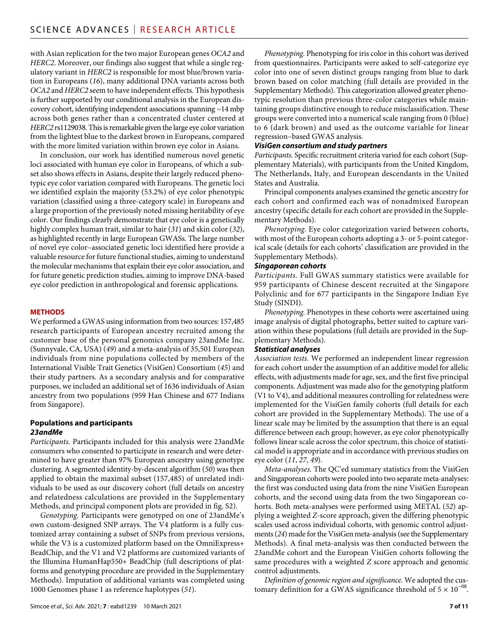with Asian replication for the two major European genes *OCA2* and *HERC2*. Moreover, our findings also suggest that while a single regulatory variant in *HERC2* is responsible for most blue/brown variation in Europeans (*16*), many additional DNA variants across both *OCA2* and *HERC2* seem to have independent effects. This hypothesis is further supported by our conditional analysis in the European discovery cohort, identifying independent associations spanning ~14 mbp across both genes rather than a concentrated cluster centered at *HERC2* rs1129038. This is remarkable given the large eye color variation from the lightest blue to the darkest brown in Europeans, compared with the more limited variation within brown eye color in Asians.

In conclusion, our work has identified numerous novel genetic loci associated with human eye color in Europeans, of which a subset also shows effects in Asians, despite their largely reduced phenotypic eye color variation compared with Europeans. The genetic loci we identified explain the majority (53.2%) of eye color phenotypic variation (classified using a three-category scale) in Europeans and a large proportion of the previously noted missing heritability of eye color. Our findings clearly demonstrate that eye color is a genetically highly complex human trait, similar to hair (*31*) and skin color (*32*), as highlighted recently in large European GWASs. The large number of novel eye color–associated genetic loci identified here provide a valuable resource for future functional studies, aiming to understand the molecular mechanisms that explain their eye color association, and for future genetic prediction studies, aiming to improve DNA-based eye color prediction in anthropological and forensic applications.

## **METHODS**

We performed a GWAS using information from two sources: 157,485 research participants of European ancestry recruited among the customer base of the personal genomics company 23andMe Inc. (Sunnyvale, CA, USA) (*49*) and a meta-analysis of 35,501 European individuals from nine populations collected by members of the International Visible Trait Genetics (VisiGen) Consortium (*45*) and their study partners. As a secondary analysis and for comparative purposes, we included an additional set of 1636 individuals of Asian ancestry from two populations (959 Han Chinese and 677 Indians from Singapore).

## **Populations and participants** *23andMe*

*Participants.* Participants included for this analysis were 23andMe consumers who consented to participate in research and were determined to have greater than 97% European ancestry using genotype clustering. A segmented identity-by-descent algorithm (*50*) was then applied to obtain the maximal subset (157,485) of unrelated individuals to be used as our discovery cohort (full details on ancestry and relatedness calculations are provided in the Supplementary Methods, and principal component plots are provided in fig. S2).

*Genotyping.* Participants were genotyped on one of 23andMe's own custom-designed SNP arrays. The V4 platform is a fully customized array containing a subset of SNPs from previous versions, while the V3 is a customized platform based on the OmniExpress+ BeadChip, and the V1 and V2 platforms are customized variants of the Illumina HumanHap550+ BeadChip (full descriptions of platforms and genotyping procedure are provided in the Supplementary Methods). Imputation of additional variants was completed using 1000 Genomes phase 1 as reference haplotypes (*51*).

*Phenotyping.* Phenotyping for iris color in this cohort was derived from questionnaires. Participants were asked to self-categorize eye color into one of seven distinct groups ranging from blue to dark brown based on color matching (full details are provided in the Supplementary Methods). This categorization allowed greater phenotypic resolution than previous three-color categories while maintaining groups distinctive enough to reduce misclassification. These groups were converted into a numerical scale ranging from 0 (blue) to 6 (dark brown) and used as the outcome variable for linear regression–based GWAS analysis.

## *VisiGen consortium and study partners*

*Participants.* Specific recruitment criteria varied for each cohort (Supplementary Materials), with participants from the United Kingdom, The Netherlands, Italy, and European descendants in the United States and Australia.

Principal components analyses examined the genetic ancestry for each cohort and confirmed each was of nonadmixed European ancestry (specific details for each cohort are provided in the Supplementary Methods).

*Phenotyping.* Eye color categorization varied between cohorts, with most of the European cohorts adopting a 3- or 5-point categorical scale (details for each cohorts' classification are provided in the Supplementary Methods).

## *Singaporean cohorts*

*Participants.* Full GWAS summary statistics were available for 959 participants of Chinese descent recruited at the Singapore Polyclinic and for 677 participants in the Singapore Indian Eye Study (SINDI).

*Phenotyping.* Phenotypes in these cohorts were ascertained using image analysis of digital photographs, better suited to capture variation within these populations (full details are provided in the Supplementary Methods).

#### *Statistical analyses*

*Association tests.* We performed an independent linear regression for each cohort under the assumption of an additive model for allelic effects, with adjustments made for age, sex, and the first five principal components. Adjustment was made also for the genotyping platform (V1 to V4), and additional measures controlling for relatedness were implemented for the VisiGen family cohorts (full details for each cohort are provided in the Supplementary Methods). The use of a linear scale may be limited by the assumption that there is an equal difference between each group; however, as eye color phenotypically follows linear scale across the color spectrum, this choice of statistical model is appropriate and in accordance with previous studies on eye color (*11*, *27*, *49*).

*Meta-analyses.* The QC'ed summary statistics from the VisiGen and Singaporean cohorts were pooled into two separate meta-analyses: the first was conducted using data from the nine VisiGen European cohorts, and the second using data from the two Singaporean cohorts. Both meta-analyses were performed using METAL (*52*) applying a weighted *Z*-score approach, given the differing phenotypic scales used across individual cohorts, with genomic control adjustments (*24*) made for the VisiGen meta-analysis (see the Supplementary Methods). A final meta-analysis was then conducted between the 23andMe cohort and the European VisiGen cohorts following the same procedures with a weighted *Z* score approach and genomic control adjustments.

*Definition of genomic region and significance.* We adopted the customary definition for a GWAS significance threshold of  $5 \times 10^{-08}$ .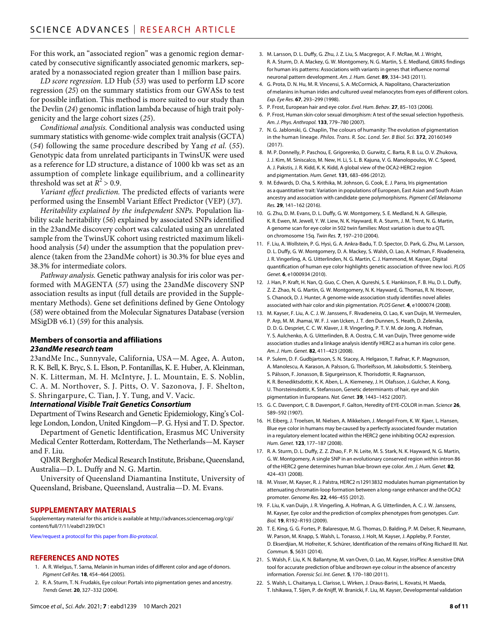For this work, an "associated region" was a genomic region demarcated by consecutive significantly associated genomic markers, separated by a nonassociated region greater than 1 million base pairs.

*LD score regression.* LD Hub (*53*) was used to perform LD score regression (*25*) on the summary statistics from our GWASs to test for possible inflation. This method is more suited to our study than the Devlin (*24*) genomic inflation lambda because of high trait polygenicity and the large cohort sizes (*25*).

*Conditional analysis.* Conditional analysis was conducted using summary statistics with genome-wide complex trait analysis (GCTA) (*54*) following the same procedure described by Yang *et al.* (*55*). Genotypic data from unrelated participants in TwinsUK were used as a reference for LD structure, a distance of 1000 kb was set as an assumption of complete linkage equilibrium, and a collinearity threshold was set at  $R^2 > 0.9$ .

*Variant effect prediction.* The predicted effects of variants were performed using the Ensembl Variant Effect Predictor (VEP) (*37*).

*Heritability explained by the independent SNPs.* Population liability scale heritability (*56*) explained by associated SNPs identified in the 23andMe discovery cohort was calculated using an unrelated sample from the TwinsUK cohort using restricted maximum likelihood analysis (*54*) under the assumption that the population prevalence (taken from the 23andMe cohort) is 30.3% for blue eyes and 38.3% for intermediate colors.

*Pathway analysis.* Genetic pathway analysis for iris color was performed with MAGENTA (*57*) using the 23andMe discovery SNP association results as input (full details are provided in the Supplementary Methods). Gene set definitions defined by Gene Ontology (*58*) were obtained from the Molecular Signatures Database (version MSigDB v6.1) (*59*) for this analysis.

## **Members of consortia and affiliations** *23andMe research team*

23andMe Inc., Sunnyvale, California, USA—M. Agee, A. Auton, R. K. Bell, K. Bryc, S. L. Elson, P. Fontanillas, K. E. Huber, A. Kleinman, N. K. Litterman, M. H. McIntyre, J. L. Mountain, E. S. Noblin, C. A. M. Northover, S. J. Pitts, O. V. Sazonova, J. F. Shelton, S. Shringarpure, C. Tian, J. Y. Tung, and V. Vacic.

## *International Visible Trait Genetics Consortium*

Department of Twins Research and Genetic Epidemiology, King's College London, London, United Kingdom—P. G. Hysi and T. D. Spector.

Department of Genetic Identification, Erasmus MC University Medical Center Rotterdam, Rotterdam, The Netherlands—M. Kayser and F. Liu.

QIMR Berghofer Medical Research Institute, Brisbane, Queensland, Australia—D. L. Duffy and N. G. Martin.

University of Queensland Diamantina Institute, University of Queensland, Brisbane, Queensland, Australia—D. M. Evans.

#### **SUPPLEMENTARY MATERIALS**

Supplementary material for this article is available at [http://advances.sciencemag.org/cgi/](http://advances.sciencemag.org/cgi/content/full/7/11/eabd1239/DC1) [content/full/7/11/eabd1239/DC1](http://advances.sciencemag.org/cgi/content/full/7/11/eabd1239/DC1)

[View/request a protocol for this paper from](https://en.bio-protocol.org/cjrap.aspx?eid=10.1126/sciadv.abd1239) *Bio-protocol*.

#### **REFERENCES AND NOTES**

- 1. A. R. Wielgus, T. Sarna, Melanin in human irides of different color and age of donors. *Pigment Cell Res.* **18**, 454–464 (2005).
- 2. R. A. Sturm, T. N. Frudakis, Eye colour: Portals into pigmentation genes and ancestry. *Trends Genet.* **20**, 327–332 (2004).
- 3. M. Larsson, D. L. Duffy, G. Zhu, J. Z. Liu, S. Macgregor, A. F. McRae, M. J. Wright, R. A. Sturm, D. A. Mackey, G. W. Montgomery, N. G. Martin, S. E. Medland, GWAS findings for human iris patterns: Associations with variants in genes that influence normal neuronal pattern development. *Am. J. Hum. Genet.* **89**, 334–343 (2011).
- 4. G. Prota, D. N. Hu, M. R. Vincensi, S. A. McCormick, A. Napolitano, Characterization of melanins in human irides and cultured uveal melanocytes from eyes of different colors. *Exp. Eye Res.* **67**, 293–299 (1998).
- 5. P. Frost, European hair and eye color. *Evol. Hum. Behav.* **27**, 85–103 (2006).
- 6. P. Frost, Human skin-color sexual dimorphism: A test of the sexual selection hypothesis. *Am. J. Phys. Anthropol.* **133**, 779–780 (2007).
- 7. N. G. Jablonski, G. Chaplin, The colours of humanity: The evolution of pigmentation in the human lineage. *Philos. Trans. R. Soc. Lond. Ser. B Biol. Sci.* **372**, 20160349 (2017).
- 8. M. P. Donnelly, P. Paschou, E. Grigorenko, D. Gurwitz, C. Barta, R. B. Lu, O. V. Zhukova, J. J. Kim, M. Siniscalco, M. New, H. Li, S. L. B. Kajuna, V. G. Manolopoulos, W. C. Speed, A. J. Pakstis, J. R. Kidd, K. K. Kidd, A global view of the OCA2-HERC2 region and pigmentation. *Hum. Genet.* **131**, 683–696 (2012).
- 9. M. Edwards, D. Cha, S. Krithika, M. Johnson, G. Cook, E. J. Parra, Iris pigmentation as a quantitative trait: Variation in populations of European, East Asian and South Asian ancestry and association with candidate gene polymorphisms. *Pigment Cell Melanoma Res.* **29**, 141–162 (2016).
- 10. G. Zhu, D. M. Evans, D. L. Duffy, G. W. Montgomery, S. E. Medland, N. A. Gillespie, K. R. Ewen, M. Jewell, Y. W. Liew, N. K. Hayward, R. A. Sturm, J. M. Trent, N. G. Martin, A genome scan for eye color in 502 twin families: Most variation is due to aQTL on chromosome 15q. *Twin Res.* **7**, 197–210 (2004).
- 11. F. Liu, A. Wollstein, P. G. Hysi, G. A. Ankra-Badu, T. D. Spector, D. Park, G. Zhu, M. Larsson, D. L. Duffy, G. W. Montgomery, D. A. Mackey, S. Walsh, O. Lao, A. Hofman, F. Rivadeneira, J. R. Vingerling, A. G. Uitterlinden, N. G. Martin, C. J. Hammond, M. Kayser, Digital quantification of human eye color highlights genetic association of three new loci. *PLOS Genet.* **6**, e1000934 (2010).
- 12. J. Han, P. Kraft, H. Nan, Q. Guo, C. Chen, A. Qureshi, S. E. Hankinson, F. B. Hu, D. L. Duffy, Z. Z. Zhao, N. G. Martin, G. W. Montgomery, N. K. Hayward, G. Thomas, R. N. Hoover, S. Chanock, D. J. Hunter, A genome-wide association study identifies novel alleles associated with hair color and skin pigmentation. *PLOS Genet.* **4**, e1000074 (2008).
- 13. M. Kayser, F. Liu, A. C. J. W. Janssens, F. Rivadeneira, O. Lao, K. vanDuijn, M. Vermeulen, P. Arp, M. M. Jhamai, W. F. J. van IJcken, J. T. den Dunnen, S. Heath, D. Zelenika, D. D. G. Despriet, C. C. W. Klaver, J. R. Vingerling, P. T. V. M. de Jong, A. Hofman, Y. S. Aulchenko, A. G. Uitterlinden, B. A. Oostra, C. M. vanDuijn, Three genome-wide association studies and a linkage analysis identify HERC2 as a human iris color gene. *Am. J. Hum. Genet.* **82**, 411–423 (2008).
- 14. P. Sulem, D. F. Gudbjartsson, S. N. Stacey, A. Helgason, T. Rafnar, K. P. Magnusson, A. Manolescu, A. Karason, A. Palsson, G. Thorleifsson, M. Jakobsdottir, S. Steinberg, S. Pálsson, F. Jonasson, B. Sigurgeirsson, K. Thorisdottir, R. Ragnarsson, K. R. Benediktsdottir, K. K. Aben, L. A. Kiemeney, J. H. Olafsson, J. Gulcher, A. Kong, U. Thorsteinsdottir, K. Stefansson, Genetic determinants of hair, eye and skin pigmentation in Europeans. *Nat. Genet.* **39**, 1443–1452 (2007).
- 15. G. C. Davenport, C. B. Davenport, F. Galton, Heredity of EYE-COLOR in man. *Science* **26**, 589–592 (1907).
- 16. H. Eiberg, J. Troelsen, M. Nielsen, A. Mikkelsen, J. Mengel-From, K. W. Kjaer, L. Hansen, Blue eye color in humans may be caused by a perfectly associated founder mutation in a regulatory element located within the HERC2 gene inhibiting OCA2 expression. *Hum. Genet.* **123**, 177–187 (2008).
- 17. R. A. Sturm, D. L. Duffy, Z. Z. Zhao, F. P. N. Leite, M. S. Stark, N. K. Hayward, N. G. Martin, G. W. Montgomery, A single SNP in an evolutionary conserved region within intron 86 of the HERC2 gene determines human blue-brown eye color. *Am. J. Hum. Genet.* **82**, 424–431 (2008).
- 18. M. Visser, M. Kayser, R. J. Palstra, HERC2 rs12913832 modulates human pigmentation by attenuating chromatin-loop formation between a long-range enhancer and theOCA2 promoter. *Genome Res.* **22**, 446–455 (2012).
- 19. F. Liu, K. van Duijn, J. R. Vingerling, A. Hofman, A. G. Uitterlinden, A. C. J. W. Janssens, M. Kayser, Eye color and the prediction of complex phenotypes from genotypes. *Curr. Biol.* **19**, R192–R193 (2009).
- 20. T. E. King, G. G. Fortes, P. Balaresque, M. G. Thomas, D. Balding, P. M. Delser, R. Neumann, W. Parson, M. Knapp, S. Walsh, L. Tonasso, J. Holt, M. Kayser, J. Appleby, P. Forster, D. Ekserdjian, M. Hofreiter, K. Schürer, Identification of the remains of King Richard III. *Nat. Commun.* **5**, 5631 (2014).
- 21. S. Walsh, F. Liu, K. N. Ballantyne, M. van Oven, O. Lao, M. Kayser, IrisPlex: A sensitive DNA tool for accurate prediction of blue and brown eve colour in the absence of ancestry information. *Forensic Sci. Int. Genet.* **5**, 170–180 (2011).
- 22. S. Walsh, L. Chaitanya, L. Clarisse, L. Wirken, J. Draus-Barini, L. Kovatsi, H. Maeda, T. Ishikawa, T. Sijen, P. de Knijff, W. Branicki, F. Liu, M. Kayser, Developmental validation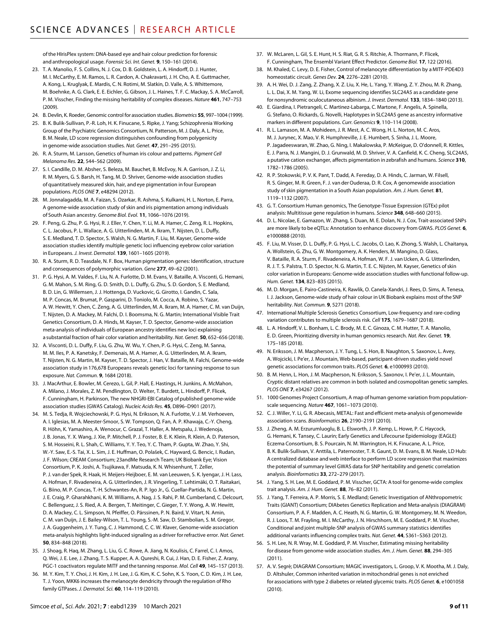of the HIrisPlex system: DNA-based eye and hair colour prediction for forensic and anthropological usage. *Forensic Sci. Int. Genet.* **9**, 150–161 (2014).

- 23. T. A. Manolio, F. S. Collins, N. J. Cox, D. B. Goldstein, L. A. Hindorff, D. J. Hunter, M. I. McCarthy, E. M. Ramos, L. R. Cardon, A. Chakravarti, J. H. Cho, A. E. Guttmacher, A. Kong, L. Kruglyak, E. Mardis, C. N. Rotimi, M. Slatkin, D. Valle, A. S. Whittemore, M. Boehnke, A. G. Clark, E. E. Eichler, G. Gibson, J. L. Haines, T. F. C. Mackay, S. A. McCarroll, P. M. Visscher, Finding the missing heritability of complex diseases. *Nature* **461**, 747–753 (2009).
- 24. B. Devlin, K. Roeder, Genomic control for association studies. *Biometrics* **55**, 997–1004 (1999).
- 25. B. K. Bulik-Sullivan, P.-R. Loh, H. K. Finucane, S. Ripke, J. Yang; Schizophrenia Working Group of the Psychiatric Genomics Consortium, N. Patterson, M. J. Daly, A. L. Price, B. M. Neale, LD score regression distinguishes confounding from polygenicity in genome-wide association studies. *Nat. Genet.* **47**, 291–295 (2015).
- 26. R. A. Sturm, M. Larsson, Genetics of human iris colour and patterns. *Pigment Cell Melanoma Res.* **22**, 544–562 (2009).
- 27. S. I. Candille, D. M. Absher, S. Beleza, M. Bauchet, B. McEvoy, N. A. Garrison, J. Z. Li, R. M. Myers, G. S. Barsh, H. Tang, M. D. Shriver, Genome-wide association studies of quantitatively measured skin, hair, and eye pigmentation in four European populations. *PLOS ONE* **7**, e48294 (2012).
- 28. M. Jonnalagadda, M. A. Faizan, S. Ozarkar, R. Ashma, S. Kulkarni, H. L. Norton, E. Parra, A genome-wide association study of skin and iris pigmentation among individuals of South Asian ancestry. *Genome Biol. Evol.* **11**, 1066–1076 (2019).
- 29. F. Peng, G. Zhu, P. G. Hysi, R. J. Eller, Y. Chen, Y. Li, M. A. Hamer, C. Zeng, R. L. Hopkins, C. L. Jacobus, P. L. Wallace, A. G. Uitterlinden, M. A. Ikram, T. Nijsten, D. L. Duffy, S. E. Medland, T. D. Spector, S. Walsh, N. G. Martin, F. Liu, M. Kayser, Genome-wide association studies identify multiple genetic loci influencing eyebrow color variation in Europeans. *J. Invest. Dermatol.* **139**, 1601–1605 (2019).
- 30. R. A. Sturm, R. D. Teasdale, N. F. Box, Human pigmentation genes: Identification, structure and consequences of polymorphic variation. *Gene* **277**, 49–62 (2001).
- 31. P. G. Hysi, A. M. Valdes, F. Liu, N. A. Furlotte, D. M. Evans, V. Bataille, A. Visconti, G. Hemani, G. M. Mahon, S. M. Ring, G. D. Smith, D. L. Duffy, G. Zhu, S. D. Gordon, S. E. Medland, B. D. Lin, G. Willemsen, J. J. Hottenga, D. Vuckovic, G. Girotto, I. Gandin, C. Sala, M. P. Concas, M. Brumat, P. Gasparini, D. Toniolo, M. Cocca, A. Robino, S. Yazar, A. W. Hewitt, Y. Chen, C. Zeng, A. G. Uitterlinden, M. A. Ikram, M. A. Hamer, C. M. van Duijn, T. Nijsten, D. A. Mackey, M. Falchi, D. I. Boomsma, N. G. Martin; International Visible Trait Genetics Consortium, D. A. Hinds, M. Kayser, T. D. Spector, Genome-wide association meta-analysis of individuals of European ancestry identifies new loci explaining a substantial fraction of hair color variation and heritability. *Nat. Genet.* **50**, 652–656 (2018).
- 32. A. Visconti, D. L. Duffy, F. Liu, G. Zhu, W. Wu, Y. Chen, P. G. Hysi, C. Zeng, M. Sanna, M. M. Iles, P. A. Kanetsky, F. Demenais, M. A. Hamer, A. G. Uitterlinden, M. A. Ikram, T. Nijsten, N. G. Martin, M. Kayser, T. D. Spector, J. Han, V. Bataille, M. Falchi, Genome-wide association study in 176,678 Europeans reveals genetic loci for tanning response to sun exposure. *Nat. Commun.* **9**, 1684 (2018).
- 33. J. MacArthur, E. Bowler, M. Cerezo, L. Gil, P. Hall, E. Hastings, H. Junkins, A. McMahon, A. Milano, J. Morales, Z. M. Pendlington, D. Welter, T. Burdett, L. Hindorff, P. Flicek, F. Cunningham, H. Parkinson, The new NHGRI-EBI Catalog of published genome-wide association studies (GWAS Catalog). *Nucleic Acids Res.* **45**, D896–D901 (2017).
- 34. M. S. Tedja, R. Wojciechowski, P. G. Hysi, N. Eriksson, N. A. Furlotte, V. J. M. Verhoeven, A. I. Iglesias, M. A. Meester-Smoor, S. W. Tompson, Q. Fan, A. P. Khawaja, C.-Y. Cheng, R. Höhn, K. Yamashiro, A. Wenocur, C. Grazal, T. Haller, A. Metspalu, J. Wedenoja, J. B. Jonas, Y. X. Wang, J. Xie, P. Mitchell, P. J. Foster, B. E. K. Klein, R. Klein, A. D. Paterson, S. M. Hosseini, R. L. Shah, C. Williams, Y. Y. Teo, Y. C. Tham, P. Gupta, W. Zhao, Y. Shi, W.-Y. Saw, E.-S. Tai, X. L. Sim, J. E. Huffman, O. Polašek, C. Hayward, G. Bencic, I. Rudan, J. F. Wilson; CREAM Consortium; 23andMe Research Team; UK Biobank Eye; Vision Consortium, P. K. Joshi, A. Tsujikawa, F. Matsuda, K. N. Whisenhunt, T. Zeller, P. J. van der Spek, R. Haak, H. Meijers-Heijboer, E. M. van Leeuwen, S. K. Iyengar, J. H. Lass, A. Hofman, F. Rivadeneira, A. G. Uitterlinden, J. R. Vingerling, T. Lehtimäki, O. T. Raitakari, G. Biino, M. P. Concas, T.-H. Schwantes-An, R. P. Igo Jr., G. Cuellar-Partida, N. G. Martin, J. E. Craig, P. Gharahkhani, K. M. Williams, A. Nag, J. S. Rahi, P. M. Cumberland, C. Delcourt, C. Bellenguez, J. S. Ried, A. A. Bergen, T. Meitinger, C. Gieger, T. Y. Wong, A. W. Hewitt, D. A. Mackey, C. L. Simpson, N. Pfeiffer, O. Pärssinen, P. N. Baird, V. Vitart, N. Amin, C. M. van Duijn, J. E. Bailey-Wilson, T. L. Young, S.-M. Saw, D. Stambolian, S. M. Gregor, J. A. Guggenheim, J. Y. Tung, C. J. Hammond, C. C. W. Klaver, Genome-wide association meta-analysis highlights light-induced signaling as a driver for refractive error. *Nat. Genet.* **50**, 834–848 (2018).
- 35. J. Shoag, R. Haq, M. Zhang, L. Liu, G. C. Rowe, A. Jiang, N. Koulisis, C. Farrel, C. I. Amos, Q. Wei, J. E. Lee, J. Zhang, T. S. Kupper, A. A. Qureshi, R. Cui, J. Han, D. E. Fisher, Z. Arany, PGC-1 coactivators regulate MITF and the tanning response. *Mol. Cell* **49**, 145–157 (2013).
- 36. M. Y. Kim, T. Y. Choi, J. H. Kim, J. H. Lee, J. G. Kim, K. C. Sohn, K. S. Yoon, C. D. Kim, J. H. Lee, T. J. Yoon, MKK6 increases the melanocyte dendricity through the regulation of Rho family GTPases. *J. Dermatol. Sci.* **60**, 114–119 (2010).
- 37. W. McLaren, L. Gil, S. E. Hunt, H. S. Riat, G. R. S. Ritchie, A. Thormann, P. Flicek, F. Cunningham, The Ensembl Variant Effect Predictor. *Genome Biol.* **17**, 122 (2016).
- 38. M. Khaled, C. Levy, D. E. Fisher, Control of melanocyte differentiation by a MITF-PDE4D3 homeostatic circuit. *Genes Dev.* **24**, 2276–2281 (2010).
- 39. A. H. Wei, D. J. Zang, Z. Zhang, X. Z. Liu, X. He, L. Yang, Y. Wang, Z. Y. Zhou, M. R. Zhang, L. L. Dai, X. M. Yang, W. Li, Exome sequencing identifies SLC24A5 as a candidate gene for nonsyndromic oculocutaneous albinism. *J. Invest. Dermatol.* **133**, 1834–1840 (2013).
- 40. E. Giardina, I. Pietrangeli, C. Martinez-Labarga, C. Martone, F. Angelis, A. Spinella, G. Stefano, O. Rickards, G. Novelli, Haplotypes in SLC24A5 gene as ancestry informative markers in different populations. *Curr. Genomics* **9**, 110–114 (2008).
- 41. R. L. Lamason, M. A. Mohideen, J. R. Mest, A. C. Wong, H. L. Norton, M. C. Aros, M. J. Jurynec, X. Mao, V. R. Humphreville, J. E. Humbert, S. Sinha, J. L. Moore, P. Jagadeeswaran, W. Zhao, G. Ning, I. Makalowska, P. McKeigue, D. O'donnell, R. Kittles, E. J. Parra, N. J. Mangini, D. J. Grunwald, M. D. Shriver, V. A. Canfield, K. C. Cheng, SLC24A5, a putative cation exchanger, affects pigmentation in zebrafish and humans. *Science* **310**, 1782–1786 (2005).
- 42. R. P. Stokowski, P. V. K. Pant, T. Dadd, A. Fereday, D. A. Hinds, C. Jarman, W. Filsell, R. S. Ginger, M. R. Green, F. J. van der Ouderaa, D. R. Cox, A genomewide association study ofskin pigmentation in a South Asian population. *Am. J. Hum. Genet.* **81**, 1119–1132 (2007).
- 43. G. T. Consortium Human genomics, The Genotype-Tissue Expression (GTEx) pilot analysis: Multitissue gene regulation in humans. *Science* **348**, 648–660 (2015).
- 44. D. L. Nicolae, E. Gamazon, W. Zhang, S. Duan, M. E. Dolan, N. J. Cox, Trait-associated SNPs are more likely to be eQTLs: Annotation to enhance discovery from GWAS. *PLOS Genet.* **6**, e1000888 (2010).
- 45. F. Liu, M. Visser, D. L. Duffy, P. G. Hysi, L. C. Jacobs, O. Lao, K. Zhong, S. Walsh, L. Chaitanya, A. Wollstein, G. Zhu, G. W. Montgomery, A. K. Henders, M. Mangino, D. Glass, V. Bataille, R. A. Sturm, F. Rivadeneira, A. Hofman, W. F. J. van IJcken, A. G. Uitterlinden, R. J. T. S. Palstra, T. D. Spector, N. G. Martin, T. E. C. Nijsten, M. Kayser, Genetics ofskin color variation in Europeans: Genome-wide association studies with functional follow-up. *Hum. Genet.* **134**, 823–835 (2015).
- 46. M. D. Morgan, E. Pairo-Castineira, K. Rawlik, O. Canela-Xandri, J. Rees, D. Sims, A. Tenesa, I. J. Jackson, Genome-wide study of hair colour in UK Biobank explains most of the SNP heritability. *Nat. Commun.* **9**, 5271 (2018).
- 47. International Multiple Sclerosis Genetics Consortium, Low-frequency and rare-coding variation contributes to multiple sclerosis risk. *Cell* **175**, 1679–1687 (2018).
- 48. L. A. Hindorff, V. L. Bonham, L. C. Brody, M. E. C. Ginoza, C. M. Hutter, T. A. Manolio, E. D. Green, Prioritizing diversity in human genomics research. *Nat. Rev. Genet.* **19**, 175–185 (2018).
- 49. N. Eriksson, J. M. Macpherson, J. Y. Tung, L. S. Hon, B. Naughton, S. Saxonov, L. Avey, A. Wojcicki, I. Pe'er, J. Mountain, Web-based, participant-driven studies yield novel genetic associations for common traits. *PLOS Genet.* **6**, e1000993 (2010).
- 50. B. M. Henn, L. Hon, J. M. Macpherson, N. Eriksson, S. Saxonov, I. Pe'er, J. L. Mountain, Cryptic distant relatives are common in both isolated and cosmopolitan genetic samples. *PLOS ONE* **7**, e34267 (2012).
- 51. 1000 Genomes Project Consortium, A map of human genome variation from populationscale sequencing. *Nature* **467**, 1061–1073 (2010).
- 52. C. J. Willer, Y. Li, G. R. Abecasis, METAL: Fast and efficient meta-analysis of genomewide association scans. *Bioinformatics* **26**, 2190–2191 (2010).
- 53. J. Zheng, A. M. Erzurumluoglu, B. L. Elsworth, J. P. Kemp, L. Howe, P. C. Haycock, G. Hemani, K. Tansey, C. Laurin; Early Genetics and Lifecourse Epidemiology (EAGLE) Eczema Consortium, B. S. Pourcain, N. M. Warrington, H. K. Finucane, A. L. Price, B. K. Bulik-Sullivan, V. Anttila, L. Paternoster, T. R. Gaunt, D. M. Evans, B. M. Neale, LD Hub: A centralized database and web interface to perform LD score regression that maximizes the potential of summary level GWAS data for SNP heritability and genetic correlation analysis. *Bioinformatics* **33**, 272–279 (2017).
- 54. J. Yang, S. H. Lee, M. E. Goddard, P. M. Visscher, GCTA: A tool for genome-wide complex trait analysis. *Am. J. Hum. Genet.* **88**, 76–82 (2011).
- 55. J. Yang, T. Ferreira, A. P. Morris, S. E. Medland; Genetic Investigation of ANthropometric Traits (GIANT) Consortium; DIAbetes Genetics Replication and Meta-analysis (DIAGRAM) Consortium, P. A. F. Madden, A. C. Heath, N. G. Martin, G. W. Montgomery, M. N. Weedon, R. J. Loos, T. M. Frayling, M. I. McCarthy, J. N. Hirschhorn, M. E. Goddard, P. M. Visscher, Conditional and joint multiple-SNP analysis of GWAS summary statistics identifies additional variants influencing complex traits. *Nat. Genet.* **44**, S361–S363 (2012).
- 56. S. H. Lee, N. R. Wray, M. E. Goddard, P. M. Visscher, Estimating missing heritability for disease from genome-wide association studies. *Am. J. Hum. Genet.* **88**, 294–305 (2011).
- 57. A. V. Segrè; DIAGRAM Consortium; MAGIC investigators, L. Groop, V. K. Mootha, M. J. Daly, D. Altshuler, Common inherited variation in mitochondrial genes is not enriched for associations with type 2 diabetes or related glycemic traits. *PLOS Genet.* **6**, e1001058 (2010).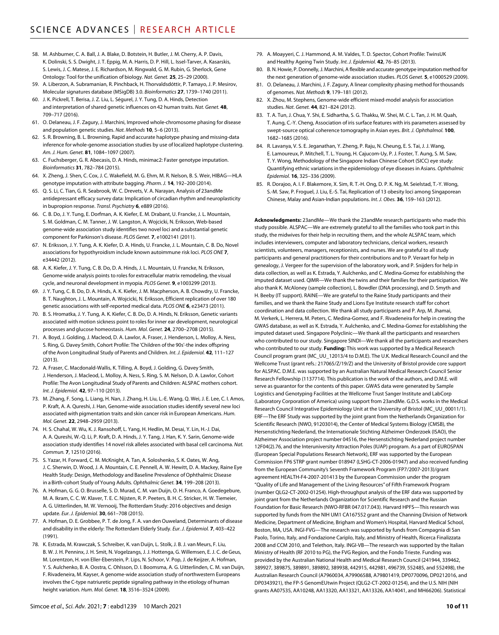- 58. M. Ashburner, C. A. Ball, J. A. Blake, D. Botstein, H. Butler, J. M. Cherry, A. P. Davis, K. Dolinski, S. S. Dwight, J. T. Eppig, M. A. Harris, D. P. Hill, L. Issel-Tarver, A. Kasarskis, S. Lewis, J. C. Matese, J. E. Richardson, M. Ringwald, G. M. Rubin, G. Sherlock, Gene Ontology: Tool for the unification of biology. *Nat. Genet.* **25**, 25–29 (2000).
- 59. A. Liberzon, A. Subramanian, R. Pinchback, H. Thorvaldsdóttir, P. Tamayo, J. P. Mesirov, Molecular signatures database (MSigDB) 3.0. *Bioinformatics* **27**, 1739–1740 (2011).
- 60. J. K. Pickrell, T. Berisa, J. Z. Liu, L. Ségurel, J. Y. Tung, D. A. Hinds, Detection and interpretation ofshared genetic influences on 42 human traits. *Nat. Genet.* **48**, 709–717 (2016).
- 61. O. Delaneau, J. F. Zagury, J. Marchini, Improved whole-chromosome phasing for disease and population genetic studies. *Nat. Methods* **10**, 5–6 (2013).
- 62. S. R. Browning, B. L. Browning, Rapid and accurate haplotype phasing and missing-data inference for whole-genome association studies by use of localized haplotype clustering. *Am. J. Hum. Genet.* **81**, 1084–1097 (2007).
- 63. C. Fuchsberger, G. R. Abecasis, D. A. Hinds, minimac2: Faster genotype imputation. *Bioinformatics* **31**, 782–784 (2015).
- 64. X. Zheng, J. Shen, C. Cox, J. C. Wakefield, M. G. Ehm, M. R. Nelson, B. S. Weir, HIBAG—HLA genotype imputation with attribute bagging. *Pharm. J.* **14**, 192–200 (2014).
- 65. Q. S. Li, C. Tian, G. R. Seabrook, W. C. Drevets, V. A. Narayan, Analysis of 23andMe antidepressant efficacy survey data: Implication of circadian rhythm and neuroplasticity in bupropion response. *Transl. Psychiatry* **6**, e889 (2016).
- 66. C. B. Do, J. Y. Tung, E. Dorfman, A. K. Kiefer, E. M. Drabant, U. Francke, J. L. Mountain, S. M. Goldman, C. M. Tanner, J. W. Langston, A. Wojcicki, N. Eriksson, Web-based genome-wide association study identifies two novel loci and a substantial genetic component for Parkinson's disease. *PLOS Genet.* **7**, e1002141 (2011).
- 67. N. Eriksson, J. Y. Tung, A. K. Kiefer, D. A. Hinds, U. Francke, J. L. Mountain, C. B. Do, Novel associations for hypothyroidism include known autoimmune risk loci. *PLOS ONE* **7**, e34442 (2012).
- 68. A. K. Kiefer, J. Y. Tung, C. B. Do, D. A. Hinds, J. L. Mountain, U. Francke, N. Eriksson, Genome-wide analysis points to roles for extracellular matrix remodeling, the visual cycle, and neuronal development in myopia. *PLOS Genet.* **9**, e1003299 (2013).
- 69. J. Y. Tung, C. B. Do, D. A. Hinds, A. K. Kiefer, J. M. Macpherson, A. B. Chowdry, U. Francke, B. T. Naughton, J. L. Mountain, A. Wojcicki, N. Eriksson, Efficient replication of over 180 genetic associations with self-reported medical data. *PLOS ONE* **6**, e23473 (2011).
- 70. B. S. Hromatka, J. Y. Tung, A. K. Kiefer, C. B. Do, D. A. Hinds, N. Eriksson, Genetic variants associated with motion sickness point to roles for inner ear development, neurological processes and glucose homeostasis. *Hum. Mol. Genet.* **24**, 2700–2708 (2015).
- 71. A. Boyd, J. Golding, J. Macleod, D. A. Lawlor, A. Fraser, J. Henderson, L. Molloy, A. Ness, S. Ring, G. Davey Smith, Cohort Profile: The 'Children of the 90s'-the index offspring of the Avon Longitudinal Study of Parents and Children. *Int. J. Epidemiol.* **42**, 111–127  $(2013)$
- 72. A. Fraser, C. Macdonald-Wallis, K. Tilling, A. Boyd, J. Golding, G. Davey Smith, J. Henderson, J. Macleod, L. Molloy, A. Ness, S. Ring, S. M. Nelson, D. A. Lawlor, Cohort Profile: The Avon Longitudinal Study of Parents and Children: ALSPAC mothers cohort. *Int. J. Epidemiol.* **42**, 97–110 (2013).
- 73. M. Zhang, F. Song, L. Liang, H. Nan, J. Zhang, H. Liu, L.-E. Wang, Q. Wei, J. E. Lee, C. I. Amos, P. Kraft, A. A. Qureshi, J. Han, Genome-wide association studies identify several new loci associated with pigmentation traits and skin cancer risk in European Americans. *Hum. Mol. Genet.* **22**, 2948–2959 (2013).
- 74. H. S. Chahal, W. Wu, K. J. Ransohoff, L. Yang, H. Hedlin, M. Desai, Y. Lin, H.-J. Dai, A. A. Qureshi, W.-Q. Li, P. Kraft, D. A. Hinds, J. Y. Tang, J. Han, K. Y. Sarin, Genome-wide association study identifies 14 novel risk alleles associated with basal cell carcinoma. *Nat. Commun.* **7**, 12510 (2016).
- 75. S. Yazar, H. Forward, C. M. McKnight, A. Tan, A. Soloshenko, S. K. Oates, W. Ang, J. C. Sherwin, D. Wood, J. A. Mountain, C. E. Pennell, A. W. Hewitt, D. A. Mackey, Raine Eye Health Study: Design, Methodology and Baseline Prevalence of Ophthalmic Disease in a Birth-cohort Study of Young Adults. *Ophthalmic Genet.* **34**, 199–208 (2013).
- 76. A. Hofman, G. G. O. Brusselle, S. D. Murad, C. M. van Duijn, O. H. Franco, A. Goedegebure, M. A. Ikram, C. C. W. Klaver, T. E. C. Nijsten, R. P. Peeters, B. H. C. Stricker, H. W. Tiemeier, A. G. Uitterlinden, M. W. Vernooij, The Rotterdam Study: 2016 objectives and design update. *Eur. J. Epidemiol.* **30**, 661–708 (2015).
- 77. A. Hofman, D. E. Grobbee, P. T. de Jong, F. A. van den Ouweland, Determinants of disease and disability in the elderly: The Rotterdam Elderly Study. *Eur. J. Epidemiol.* **7**, 403–422 (1991).
- 78. K. Estrada, M. Krawczak, S. Schreiber, K. vanDuijn, L. Stolk, J. B. J. van Meurs, F. Liu, B. W. J. H. Penninx, J. H. Smit, N. Vogelzangs, J. J. Hottenga, G. Willemsen, E. J. C. de Geus, M. Lorentzon, H. von Eller-Eberstein, P. Lips, N. Schoor, V. Pop, J. de Keijzer, A. Hofman, Y. S. Aulchenko, B. A. Oostra, C. Ohlsson, D. I. Boomsma, A. G. Uitterlinden, C. M. van Duijn, F. Rivadeneira, M. Kayser, A genome-wide association study of northwestern Europeans involves the C-type natriuretic peptide signaling pathway in the etiology of human height variation. *Hum. Mol. Genet.* **18**, 3516–3524 (2009).
- 79. A. Moayyeri, C. J. Hammond, A. M. Valdes, T. D. Spector, Cohort Profile: TwinsUK and Healthy Ageing Twin Study. *Int. J. Epidemiol.* **42**, 76–85 (2013).
- 80. B. N. Howie, P. Donnelly, J. Marchini, A flexible and accurate genotype imputation method for the next generation of genome-wide association studies. *PLOS Genet.* **5**, e1000529 (2009).
- 81. O. Delaneau, J. Marchini, J. F. Zagury, A linear complexity phasing method forthousands of genomes. *Nat. Methods* **9**, 179–181 (2012).
- 82. X. Zhou, M. Stephens, Genome-wide efficient mixed-model analysis for association studies. *Nat. Genet.* **44**, 821–824 (2012).
- 83. T. A. Tun, J. Chua, Y. Shi, E. Sidhartha, S. G. Thakku, W. Shei, M. C. L. Tan, J. H. M. Quah, T. Aung, C.-Y. Cheng, Association of iris surface features with iris parameters assessed by swept-source optical coherence tomography in Asian eyes. *Brit. J. Ophthalmol.* **100**, 1682–1685 (2016).
- 84. R. Lavanya, V. S. E. Jeganathan, Y. Zheng, P. Raju, N. Cheung, E. S. Tai, J. J. Wang, E. Lamoureux, P. Mitchell, T. L. Young, H. Cajucom-Uy, P. J. Foster, T. Aung, S. M. Saw, T. Y. Wong, Methodology of the Singapore Indian Chinese Cohort (SICC) eye study: Quantifying ethnic variations in the epidemiology of eye diseases in Asians. *Ophthalmic Epidemiol.* **16**, 325–336 (2009).
- 85. R. Dorajoo, A. I. F. Blakemore, X. Sim, R. T.-H. Ong, D. P. K. Ng, M. Seielstad, T.-Y. Wong, S.-M. Saw, P. Froguel, J. Liu, E.-S. Tai, Replication of 13 obesity loci among Singaporean Chinese, Malay and Asian-Indian populations. *Int. J. Obes.* **36**, 159–163 (2012).

**Acknowledgments:** 23andMe—We thank the 23andMe research participants who made this study possible. ALSPAC—We are extremely grateful to all the families who took part in this study, the midwives for their help in recruiting them, and the whole ALSPAC team, which includes interviewers, computer and laboratory technicians, clerical workers, research scientists, volunteers, managers, receptionists, and nurses. We are grateful to all study participants and general practitioners for their contributions and to P. Veraart for help in genealogy, J. Vergeer for the supervision of the laboratory work, and P. Snijders for help in data collection, as well as K. Estrada, Y. Aulchenko, and C. Medina-Gomez for establishing the imputed dataset used. QIMR—We thank the twins and their families for their participation. We also thank K. McAloney (sample collection), L. Bowdler (DNA processing), and D. Smyth and H. Beeby (IT support). RAINE—We are grateful to the Raine Study participants and their families, and we thank the Raine Study and Lions Eye Institute research staff for cohort coordination and data collection. We thank all study participants and P. Arp, M. Jhamai, M. Verkerk, L. Herrera, M. Peters, C. Medina-Gomez, and F. Rivadeneira for help in creating the GWAS database, as well as K. Estrada, Y. Aulchenko, and C. Medina-Gomez for establishing the imputed dataset used. Singapore Polyclinic—We thank all the participants and researchers who contributed to our study. Singapore SINDI—We thank all the participants and researchers who contributed to our study. **Funding:** This work was supported by a Medical Research Council program grant (MC\_UU\_12013/4 to D.M.E). The U.K. Medical Research Council and the Wellcome Trust (grant refs.: 217065/Z/19/Z) and the University of Bristol provide core support for ALSPAC. D.M.E. was supported by an Australian Natural Medical Research Council Senior Research Fellowship (1137714). This publication is the work of the authors, and D.M.E. will serve as guarantor for the contents of this paper. GWAS data were generated by Sample Logistics and Genotyping Facilities at the Wellcome Trust Sanger Institute and LabCorp (Laboratory Corporation of America) using support from 23andMe. G.D.S. works in the Medical Research Council Integrative Epidemiology Unit at the University of Bristol (MC\_UU\_00011/1). ERF—The ERF Study was supported by the joint grant from the Netherlands Organization for Scientific Research (NWO, 91203014), the Center of Medical Systems Biology (CMSB), the Hersenstichting Nederland, the Internationale Stichting Alzheimer Onderzoek (ISAO), the Alzheimer Association project number 04516, the Hersenstichting Nederland project number 12F04(2).76, and the Interuniversity Attraction Poles (IUAP) program. As a part of EUROSPAN (European Special Populations Research Network), ERF was supported by the European Commission FP6 STRP grant number 018947 (LSHG-CT-2006-01947) and also received funding from the European Community's Seventh Framework Program (FP7/2007-2013)/grant agreement HEALTH-F4-2007-201413 by the European Commission under the program "Quality of Life and Management of the Living Resources" of Fifth Framework Program (number QLG2-CT-2002-01254). High-throughput analysis of the ERF data was supported by joint grant from the Netherlands Organization for Scientific Research and the Russian Foundation for Basic Research (NWO-RFBR 047.017.043). Harvard HPFS—This research was supported by funds from the NIH UM1 CA167552 grant and the Channing Division of Network Medicine, Department of Medicine, Brigham and Women's Hospital, Harvard Medical School, Boston, MA, USA. INGI-FVG—The research was supported by funds from Compagnia di San Paolo, Torino, Italy, and Fondazione Cariplo, Italy, and Ministry of Health, Ricerca Finalizzata 2008 and CCM 2010, and Telethon, Italy. INGI-VB—The research was supported by the Italian Ministry of Health (RF 2010 to PG), the FVG Region, and the Fondo Trieste. Funding was provided by the Australian National Health and Medical Research Council (241944, 339462, 389927, 389875, 389891, 389892, 389938, 442915, 442981, 496739, 552485, and 552498), the Australian Research Council (A7960034, A79906588, A79801419, DP0770096, DP0212016, and DP0343921), the FP-5 GenomEUtwin Project (QLG2-CT-2002-01254), and the U.S. NIH (NIH grants AA07535, AA10248, AA13320, AA13321, AA13326, AA14041, and MH66206). Statistical